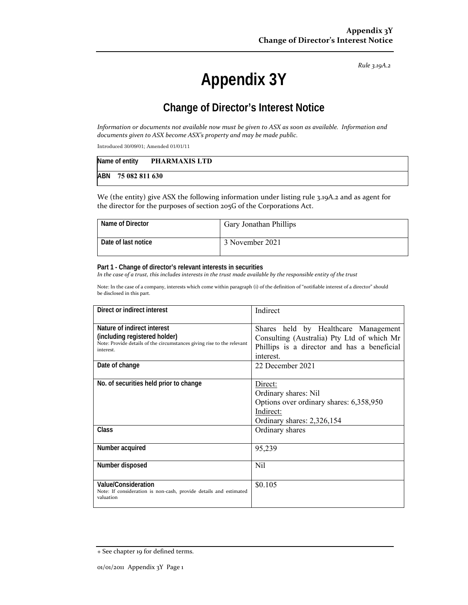*Rule 3.19A.2*

# **Appendix 3Y**

# **Change of Director's Interest Notice**

Information or documents not available now must be given to ASX as soon as available. Information and *documents given to ASX become ASX's property and may be made public.*

Introduced 30/09/01; Amended 01/01/11

| Name of entity |                    | PHARMAXIS LTD |
|----------------|--------------------|---------------|
|                | ABN 75 082 811 630 |               |

We (the entity) give ASX the following information under listing rule 3.19A.2 and as agent for the director for the purposes of section 205G of the Corporations Act.

| Name of Director      | <b>Gary Jonathan Phillips</b> |
|-----------------------|-------------------------------|
| l Date of last notice | 3 November 2021               |

#### **Part 1 - Change of director's relevant interests in securities**

In the case of a trust, this includes interests in the trust made available by the responsible entity of the trust

Note: In the case of a company, interests which come within paragraph (i) of the definition of "notifiable interest of a director" should be disclosed in this part.

| Direct or indirect interest                                                                                                                         | Indirect                                                                                                                                       |
|-----------------------------------------------------------------------------------------------------------------------------------------------------|------------------------------------------------------------------------------------------------------------------------------------------------|
| Nature of indirect interest<br>(including registered holder)<br>Note: Provide details of the circumstances giving rise to the relevant<br>interest. | Shares held by Healthcare Management<br>Consulting (Australia) Pty Ltd of which Mr<br>Phillips is a director and has a beneficial<br>interest. |
| Date of change                                                                                                                                      | 22 December 2021                                                                                                                               |
| No. of securities held prior to change                                                                                                              | Direct:<br>Ordinary shares: Nil<br>Options over ordinary shares: 6,358,950<br>Indirect:<br>Ordinary shares: 2,326,154                          |
| Class                                                                                                                                               | Ordinary shares                                                                                                                                |
| Number acquired                                                                                                                                     | 95,239                                                                                                                                         |
| Number disposed                                                                                                                                     | Nil                                                                                                                                            |
| Value/Consideration<br>Note: If consideration is non-cash, provide details and estimated<br>valuation                                               | \$0.105                                                                                                                                        |

<sup>+</sup> See chapter 19 for defined terms.